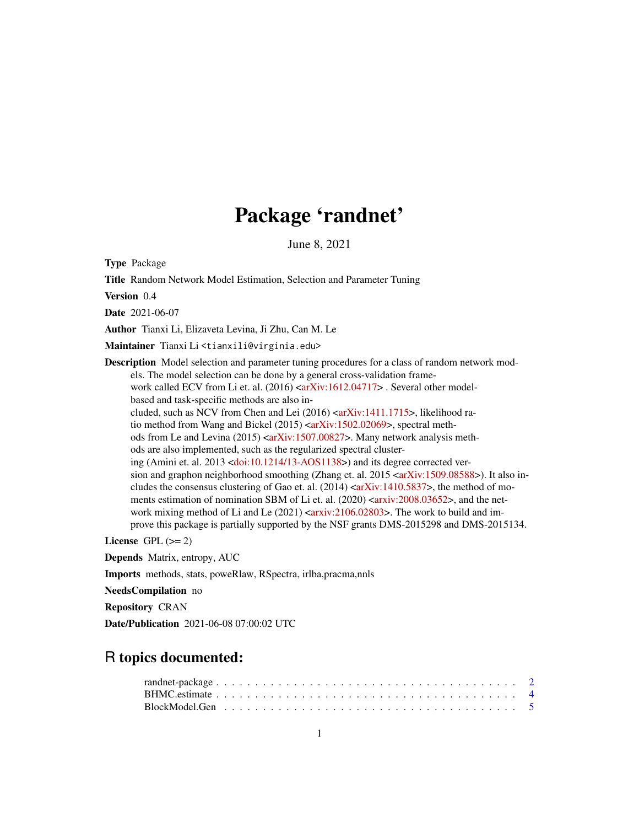# Package 'randnet'

June 8, 2021

Type Package

Title Random Network Model Estimation, Selection and Parameter Tuning

Version 0.4

Date 2021-06-07

Author Tianxi Li, Elizaveta Levina, Ji Zhu, Can M. Le

Maintainer Tianxi Li <tianxili@virginia.edu>

Description Model selection and parameter tuning procedures for a class of random network models. The model selection can be done by a general cross-validation framework called ECV from Li et. al.  $(2016)$   $\langle$  arXiv:1612.04717> . Several other modelbased and task-specific methods are also in-cluded, such as NCV from Chen and Lei (2016) [<arXiv:1411.1715>](https://arxiv.org/abs/1411.1715), likelihood ra-tio method from Wang and Bickel (2015) [<arXiv:1502.02069>](https://arxiv.org/abs/1502.02069), spectral methods from Le and Levina  $(2015)$  [<arXiv:1507.00827>](https://arxiv.org/abs/1507.00827). Many network analysis methods are also implemented, such as the regularized spectral clustering (Amini et. al. 2013 [<doi:10.1214/13-AOS1138>](https://doi.org/10.1214/13-AOS1138)) and its degree corrected version and graphon neighborhood smoothing (Zhang et. al.  $2015 \leq x \leq N$ iv:1509.08588>). It also includes the consensus clustering of Gao et. al.  $(2014)$  [<arXiv:1410.5837>](https://arxiv.org/abs/1410.5837), the method of mo-ments estimation of nomination SBM of Li et. al. (2020) [<arxiv:2008.03652>](https://arxiv.org/abs/2008.03652), and the network mixing method of Li and Le  $(2021)$   $\langle \text{arxiv:} 2106.02803 \rangle$ . The work to build and improve this package is partially supported by the NSF grants DMS-2015298 and DMS-2015134.

License GPL  $(>= 2)$ 

Depends Matrix, entropy, AUC

Imports methods, stats, poweRlaw, RSpectra, irlba,pracma,nnls

NeedsCompilation no

Repository CRAN

Date/Publication 2021-06-08 07:00:02 UTC

# R topics documented:

| $\mathsf{randnet\text{-}package}\dots\dots\dots\dots\dots\dots\dots\dots\dots\dots\dots\dots\dots\dots\dots\dots\ 2$ |  |  |  |  |  |  |  |  |  |  |  |  |  |  |  |  |  |  |  |
|----------------------------------------------------------------------------------------------------------------------|--|--|--|--|--|--|--|--|--|--|--|--|--|--|--|--|--|--|--|
|                                                                                                                      |  |  |  |  |  |  |  |  |  |  |  |  |  |  |  |  |  |  |  |
|                                                                                                                      |  |  |  |  |  |  |  |  |  |  |  |  |  |  |  |  |  |  |  |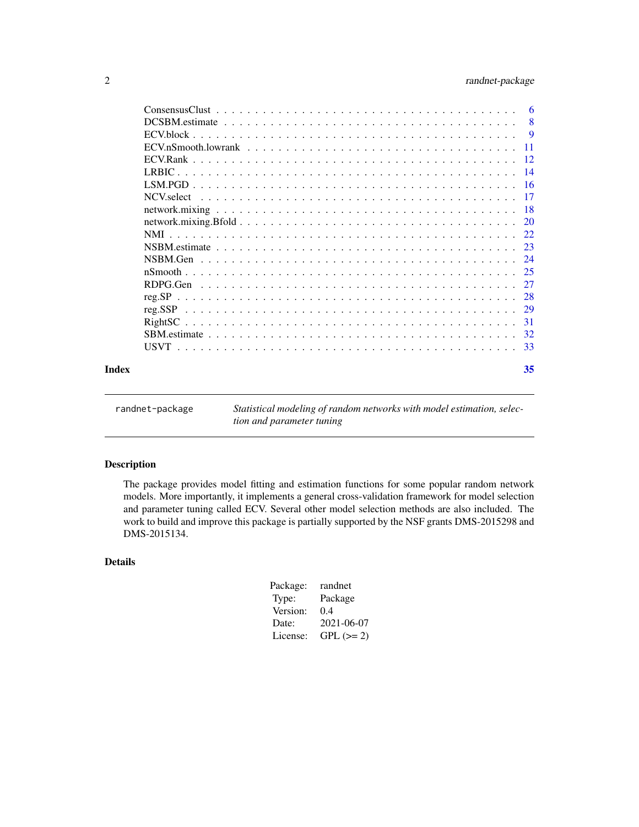# <span id="page-1-0"></span>2 randnet-package

| Index | 35 |
|-------|----|

randnet-package *Statistical modeling of random networks with model estimation, selection and parameter tuning*

# Description

The package provides model fitting and estimation functions for some popular random network models. More importantly, it implements a general cross-validation framework for model selection and parameter tuning called ECV. Several other model selection methods are also included. The work to build and improve this package is partially supported by the NSF grants DMS-2015298 and DMS-2015134.

# Details

| Package: | randnet    |
|----------|------------|
| Type:    | Package    |
| Version: | 0.4        |
| Date:    | 2021-06-07 |
| License: | $GPL (=2)$ |
|          |            |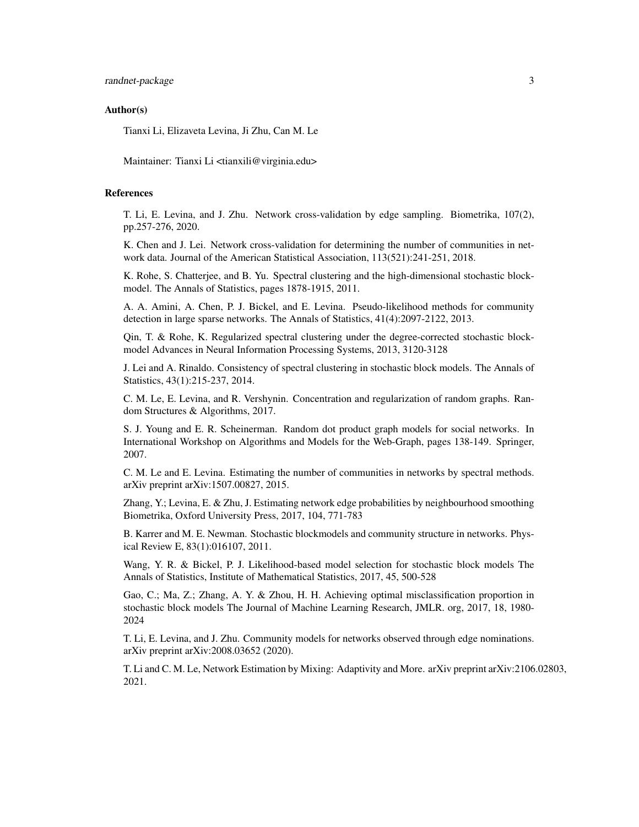randnet-package 3

#### Author(s)

Tianxi Li, Elizaveta Levina, Ji Zhu, Can M. Le

Maintainer: Tianxi Li <tianxili@virginia.edu>

#### References

T. Li, E. Levina, and J. Zhu. Network cross-validation by edge sampling. Biometrika, 107(2), pp.257-276, 2020.

K. Chen and J. Lei. Network cross-validation for determining the number of communities in network data. Journal of the American Statistical Association, 113(521):241-251, 2018.

K. Rohe, S. Chatterjee, and B. Yu. Spectral clustering and the high-dimensional stochastic blockmodel. The Annals of Statistics, pages 1878-1915, 2011.

A. A. Amini, A. Chen, P. J. Bickel, and E. Levina. Pseudo-likelihood methods for community detection in large sparse networks. The Annals of Statistics, 41(4):2097-2122, 2013.

Qin, T. & Rohe, K. Regularized spectral clustering under the degree-corrected stochastic blockmodel Advances in Neural Information Processing Systems, 2013, 3120-3128

J. Lei and A. Rinaldo. Consistency of spectral clustering in stochastic block models. The Annals of Statistics, 43(1):215-237, 2014.

C. M. Le, E. Levina, and R. Vershynin. Concentration and regularization of random graphs. Random Structures & Algorithms, 2017.

S. J. Young and E. R. Scheinerman. Random dot product graph models for social networks. In International Workshop on Algorithms and Models for the Web-Graph, pages 138-149. Springer, 2007.

C. M. Le and E. Levina. Estimating the number of communities in networks by spectral methods. arXiv preprint arXiv:1507.00827, 2015.

Zhang, Y.; Levina, E. & Zhu, J. Estimating network edge probabilities by neighbourhood smoothing Biometrika, Oxford University Press, 2017, 104, 771-783

B. Karrer and M. E. Newman. Stochastic blockmodels and community structure in networks. Physical Review E, 83(1):016107, 2011.

Wang, Y. R. & Bickel, P. J. Likelihood-based model selection for stochastic block models The Annals of Statistics, Institute of Mathematical Statistics, 2017, 45, 500-528

Gao, C.; Ma, Z.; Zhang, A. Y. & Zhou, H. H. Achieving optimal misclassification proportion in stochastic block models The Journal of Machine Learning Research, JMLR. org, 2017, 18, 1980- 2024

T. Li, E. Levina, and J. Zhu. Community models for networks observed through edge nominations. arXiv preprint arXiv:2008.03652 (2020).

T. Li and C. M. Le, Network Estimation by Mixing: Adaptivity and More. arXiv preprint arXiv:2106.02803, 2021.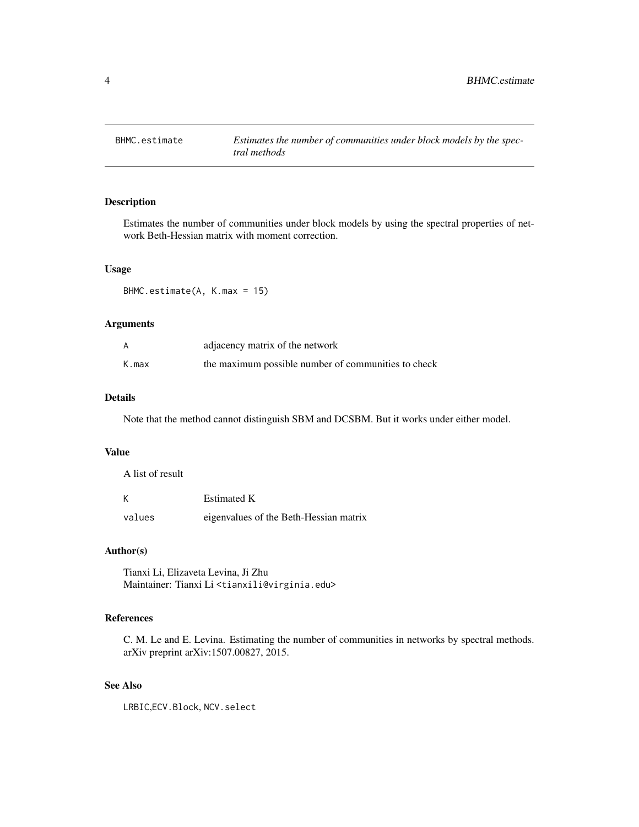<span id="page-3-1"></span><span id="page-3-0"></span>

Estimates the number of communities under block models by using the spectral properties of network Beth-Hessian matrix with moment correction.

#### Usage

BHMC.estimate(A, K.max = 15)

#### Arguments

|       | adjacency matrix of the network                     |
|-------|-----------------------------------------------------|
| K.max | the maximum possible number of communities to check |

#### Details

Note that the method cannot distinguish SBM and DCSBM. But it works under either model.

#### Value

A list of result

| Κ      | <b>Estimated K</b>                     |
|--------|----------------------------------------|
| values | eigenvalues of the Beth-Hessian matrix |

# Author(s)

Tianxi Li, Elizaveta Levina, Ji Zhu Maintainer: Tianxi Li <tianxili@virginia.edu>

# References

C. M. Le and E. Levina. Estimating the number of communities in networks by spectral methods. arXiv preprint arXiv:1507.00827, 2015.

# See Also

LRBIC,ECV.Block, NCV.select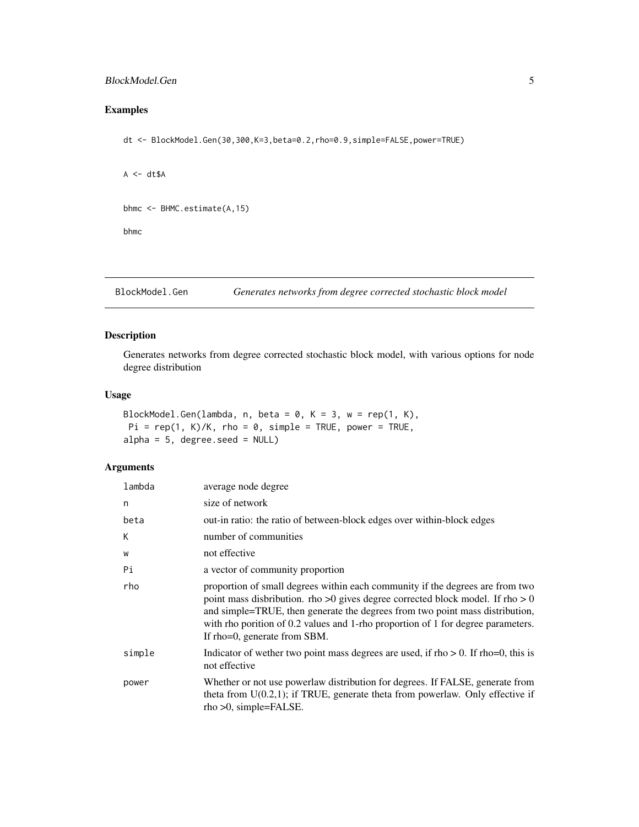#### <span id="page-4-0"></span>BlockModel.Gen 5

# Examples

dt <- BlockModel.Gen(30,300,K=3,beta=0.2,rho=0.9,simple=FALSE,power=TRUE)

```
A \leq -dt$A
bhmc <- BHMC.estimate(A,15)
bhmc
```
BlockModel.Gen *Generates networks from degree corrected stochastic block model*

#### Description

Generates networks from degree corrected stochastic block model, with various options for node degree distribution

# Usage

```
BlockModel.Gen(lambda, n, beta = 0, K = 3, w = rep(1, K),
Pi = rep(1, K)/K, rho = 0, simple = TRUE, power = TRUE,
alpha = 5, degree.seed = NULL)
```
#### Arguments

| lambda | average node degree                                                                                                                                                                                                                                                                                                                                                 |
|--------|---------------------------------------------------------------------------------------------------------------------------------------------------------------------------------------------------------------------------------------------------------------------------------------------------------------------------------------------------------------------|
| n      | size of network                                                                                                                                                                                                                                                                                                                                                     |
| beta   | out-in ratio: the ratio of between-block edges over within-block edges                                                                                                                                                                                                                                                                                              |
| K      | number of communities                                                                                                                                                                                                                                                                                                                                               |
| W      | not effective                                                                                                                                                                                                                                                                                                                                                       |
| Pi     | a vector of community proportion                                                                                                                                                                                                                                                                                                                                    |
| rho    | proportion of small degrees within each community if the degrees are from two<br>point mass disbribution. rho >0 gives degree corrected block model. If rho > 0<br>and simple=TRUE, then generate the degrees from two point mass distribution,<br>with rho porition of 0.2 values and 1-rho proportion of 1 for degree parameters.<br>If rho=0, generate from SBM. |
| simple | Indicator of wether two point mass degrees are used, if $rho > 0$ . If $rho = 0$ , this is<br>not effective                                                                                                                                                                                                                                                         |
| power  | Whether or not use powerlaw distribution for degrees. If FALSE, generate from<br>theta from $U(0.2,1)$ ; if TRUE, generate theta from powerlaw. Only effective if<br>$rho > 0$ , simple=FALSE.                                                                                                                                                                      |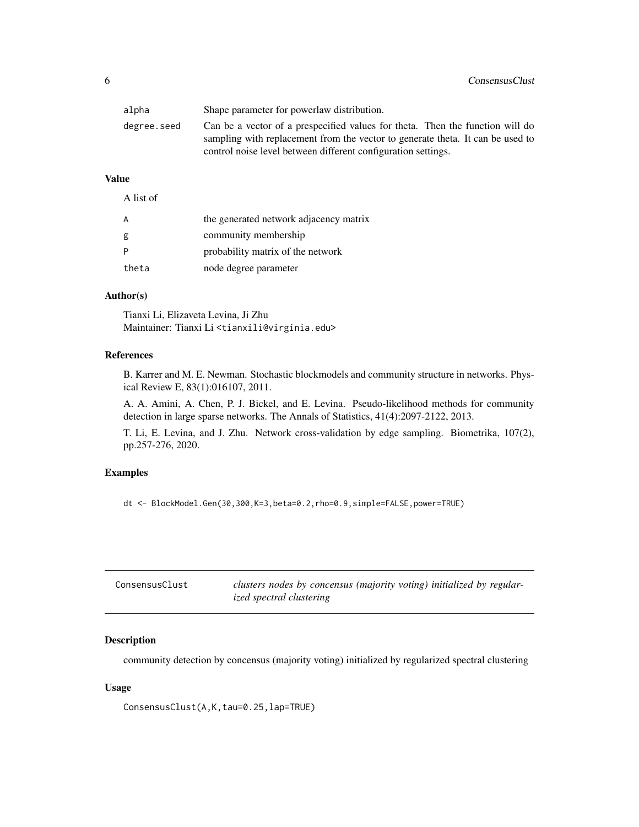<span id="page-5-0"></span>

| alpha       | Shape parameter for powerlaw distribution.                                                                                                                                                                                       |
|-------------|----------------------------------------------------------------------------------------------------------------------------------------------------------------------------------------------------------------------------------|
| degree.seed | Can be a vector of a prespecified values for theta. Then the function will do<br>sampling with replacement from the vector to generate theta. It can be used to<br>control noise level between different configuration settings. |

# Value

A list of

| Α     | the generated network adjacency matrix |
|-------|----------------------------------------|
| g     | community membership                   |
|       | probability matrix of the network      |
| theta | node degree parameter                  |

#### Author(s)

Tianxi Li, Elizaveta Levina, Ji Zhu Maintainer: Tianxi Li <tianxili@virginia.edu>

#### References

B. Karrer and M. E. Newman. Stochastic blockmodels and community structure in networks. Physical Review E, 83(1):016107, 2011.

A. A. Amini, A. Chen, P. J. Bickel, and E. Levina. Pseudo-likelihood methods for community detection in large sparse networks. The Annals of Statistics, 41(4):2097-2122, 2013.

T. Li, E. Levina, and J. Zhu. Network cross-validation by edge sampling. Biometrika, 107(2), pp.257-276, 2020.

# Examples

dt <- BlockModel.Gen(30,300,K=3,beta=0.2,rho=0.9,simple=FALSE,power=TRUE)

| ConsensusClust | clusters nodes by concensus (majority voting) initialized by regular- |
|----------------|-----------------------------------------------------------------------|
|                | <i>ized spectral clustering</i>                                       |

# Description

community detection by concensus (majority voting) initialized by regularized spectral clustering

#### Usage

ConsensusClust(A,K,tau=0.25,lap=TRUE)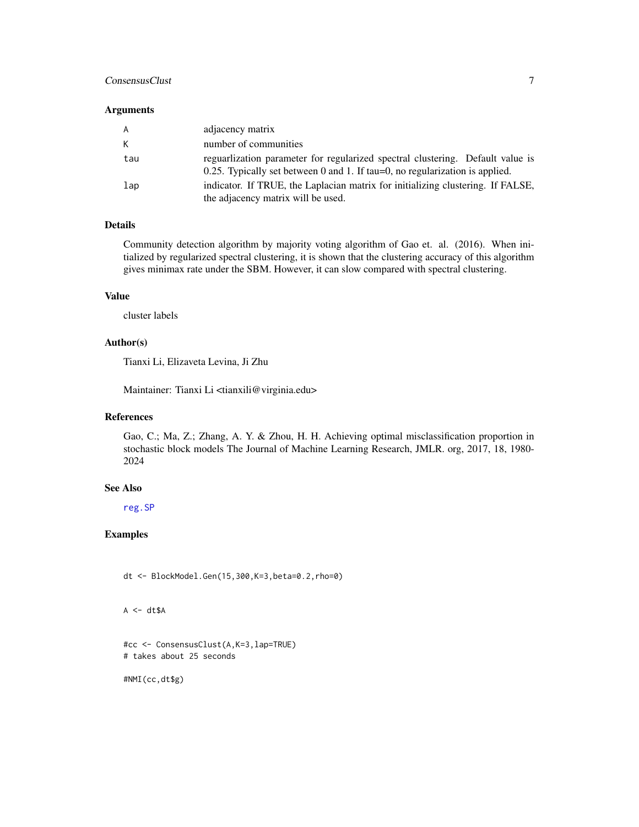#### <span id="page-6-0"></span>ConsensusClust 7

#### Arguments

| A   | adjacency matrix                                                                                                                                                 |
|-----|------------------------------------------------------------------------------------------------------------------------------------------------------------------|
| K   | number of communities                                                                                                                                            |
| tau | reguarization parameter for regularized spectral clustering. Default value is<br>$0.25$ . Typically set between 0 and 1. If tau=0, no regularization is applied. |
| lap | indicator. If TRUE, the Laplacian matrix for initializing clustering. If FALSE,<br>the adjacency matrix will be used.                                            |

# Details

Community detection algorithm by majority voting algorithm of Gao et. al. (2016). When initialized by regularized spectral clustering, it is shown that the clustering accuracy of this algorithm gives minimax rate under the SBM. However, it can slow compared with spectral clustering.

#### Value

cluster labels

#### Author(s)

Tianxi Li, Elizaveta Levina, Ji Zhu

Maintainer: Tianxi Li <tianxili@virginia.edu>

# References

Gao, C.; Ma, Z.; Zhang, A. Y. & Zhou, H. H. Achieving optimal misclassification proportion in stochastic block models The Journal of Machine Learning Research, JMLR. org, 2017, 18, 1980- 2024

#### See Also

[reg.SP](#page-27-1)

# Examples

dt <- BlockModel.Gen(15,300,K=3,beta=0.2,rho=0)

 $A \leftarrow dt$ \$A

#cc <- ConsensusClust(A,K=3,lap=TRUE) # takes about 25 seconds

#NMI(cc,dt\$g)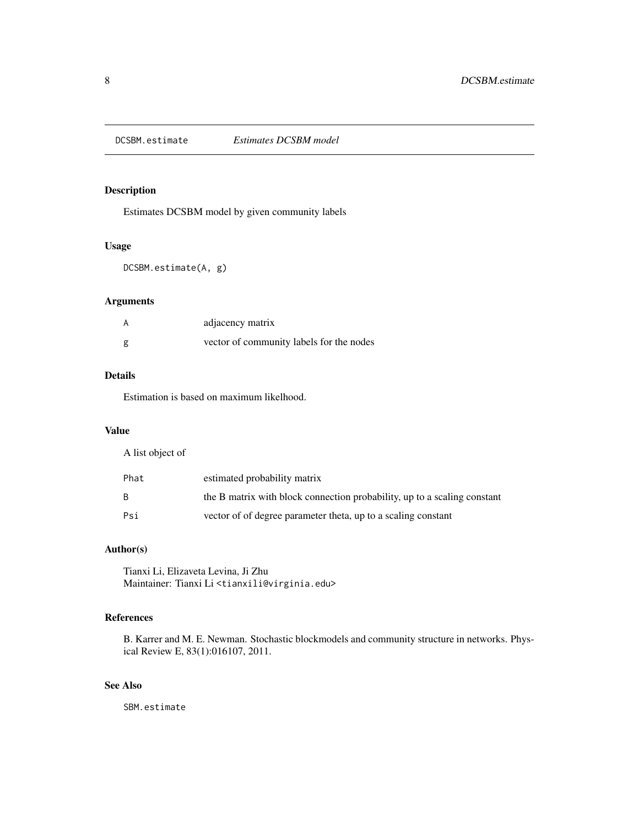<span id="page-7-1"></span><span id="page-7-0"></span>

Estimates DCSBM model by given community labels

#### Usage

DCSBM.estimate(A, g)

# Arguments

| А | adjacency matrix                         |
|---|------------------------------------------|
| g | vector of community labels for the nodes |

#### Details

Estimation is based on maximum likelhood.

# Value

A list object of

| Phat | estimated probability matrix                                             |
|------|--------------------------------------------------------------------------|
| B.   | the B matrix with block connection probability, up to a scaling constant |
| Psi  | vector of of degree parameter theta, up to a scaling constant            |

# Author(s)

Tianxi Li, Elizaveta Levina, Ji Zhu Maintainer: Tianxi Li <tianxili@virginia.edu>

# References

B. Karrer and M. E. Newman. Stochastic blockmodels and community structure in networks. Physical Review E, 83(1):016107, 2011.

# See Also

SBM.estimate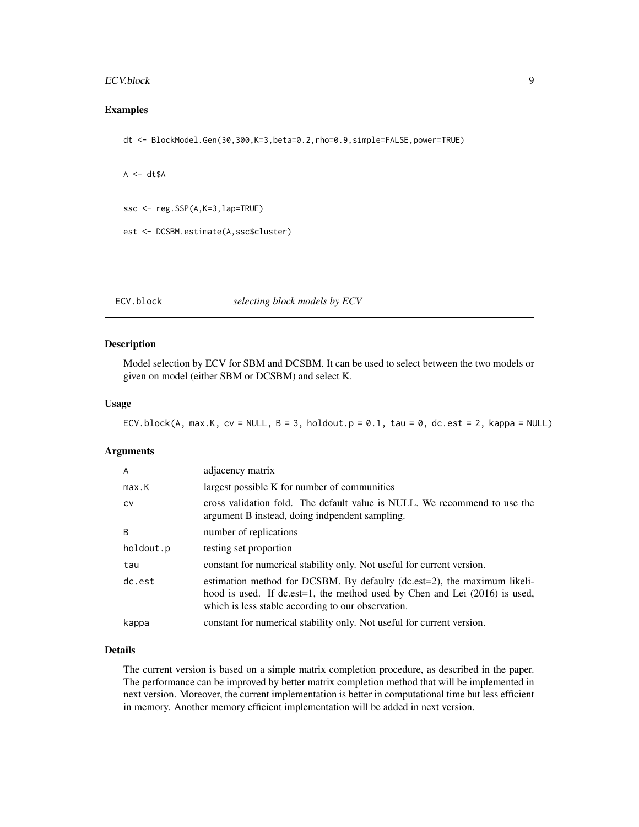#### <span id="page-8-0"></span>ECV.block 9

# Examples

dt <- BlockModel.Gen(30,300,K=3,beta=0.2,rho=0.9,simple=FALSE,power=TRUE)

```
A \leq -dt$A
```

```
ssc <- reg.SSP(A,K=3,lap=TRUE)
```

```
est <- DCSBM.estimate(A,ssc$cluster)
```
<span id="page-8-1"></span>ECV.block *selecting block models by ECV*

#### Description

Model selection by ECV for SBM and DCSBM. It can be used to select between the two models or given on model (either SBM or DCSBM) and select K.

#### Usage

```
ECV.block(A, max.K, cv = NULL, B = 3, holdout.p = 0.1, tau = 0, dc.est = 2, kappa = NULL)
```
#### Arguments

| A         | adjacency matrix                                                                                                                                                                                                  |
|-----------|-------------------------------------------------------------------------------------------------------------------------------------------------------------------------------------------------------------------|
| max.K     | largest possible K for number of communities                                                                                                                                                                      |
| <b>CV</b> | cross validation fold. The default value is NULL. We recommend to use the<br>argument B instead, doing indpendent sampling.                                                                                       |
| B         | number of replications                                                                                                                                                                                            |
| holdout.p | testing set proportion                                                                                                                                                                                            |
| tau       | constant for numerical stability only. Not useful for current version.                                                                                                                                            |
| dc.est    | estimation method for DCSBM. By defaulty (dc.est=2), the maximum likeli-<br>hood is used. If $dc.est=1$ , the method used by Chen and Lei $(2016)$ is used,<br>which is less stable according to our observation. |
| kappa     | constant for numerical stability only. Not useful for current version.                                                                                                                                            |

#### Details

The current version is based on a simple matrix completion procedure, as described in the paper. The performance can be improved by better matrix completion method that will be implemented in next version. Moreover, the current implementation is better in computational time but less efficient in memory. Another memory efficient implementation will be added in next version.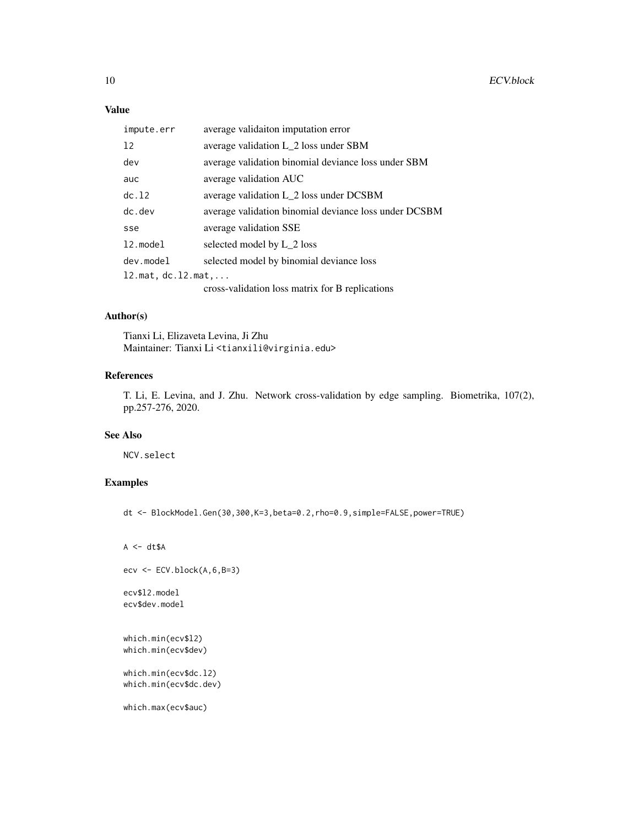# Value

| impute.err                  | average validaiton imputation error                   |
|-----------------------------|-------------------------------------------------------|
| 12                          | average validation L_2 loss under SBM                 |
| dev                         | average validation binomial deviance loss under SBM   |
| auc                         | average validation AUC                                |
| dc.12                       | average validation L_2 loss under DCSBM               |
| $dc.$ dev                   | average validation binomial deviance loss under DCSBM |
| sse                         | average validation SSE                                |
| 12.model                    | selected model by L_2 loss                            |
| dev.model                   | selected model by binomial deviance loss              |
| $l2.mat, dc.l2.mat, \ldots$ |                                                       |
|                             | cross-validation loss matrix for B replications       |

# Author(s)

Tianxi Li, Elizaveta Levina, Ji Zhu Maintainer: Tianxi Li <tianxili@virginia.edu>

#### References

T. Li, E. Levina, and J. Zhu. Network cross-validation by edge sampling. Biometrika, 107(2), pp.257-276, 2020.

#### See Also

NCV.select

# Examples

dt <- BlockModel.Gen(30,300,K=3,beta=0.2,rho=0.9,simple=FALSE,power=TRUE)

```
A \leftarrow dt \$A\text{ecv} \leftarrow \text{ECV}.\text{block}(A, 6, B=3)ecv$l2.model
ecv$dev.model
which.min(ecv$l2)
which.min(ecv$dev)
which.min(ecv$dc.l2)
which.min(ecv$dc.dev)
```
which.max(ecv\$auc)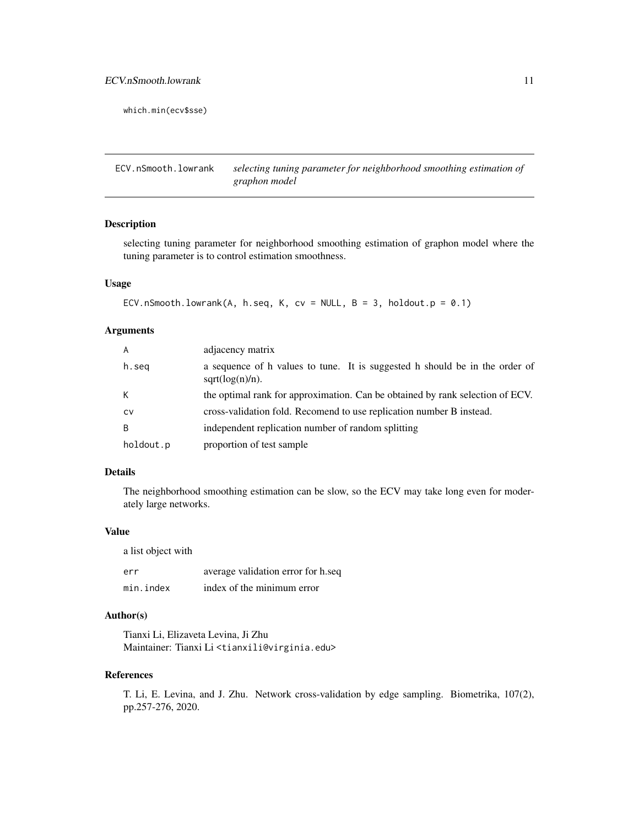<span id="page-10-0"></span>which.min(ecv\$sse)

ECV.nSmooth.lowrank *selecting tuning parameter for neighborhood smoothing estimation of graphon model*

# Description

selecting tuning parameter for neighborhood smoothing estimation of graphon model where the tuning parameter is to control estimation smoothness.

#### Usage

```
ECV.nSmooth.lowrank(A, h.seq, K, cv = NULL, B = 3, holdout.p = 0.1)
```
#### Arguments

| A         | adjacency matrix                                                                                  |
|-----------|---------------------------------------------------------------------------------------------------|
| h.seg     | a sequence of h values to tune. It is suggested h should be in the order of<br>$sqrt(log(n)/n)$ . |
| К         | the optimal rank for approximation. Can be obtained by rank selection of ECV.                     |
| <b>CV</b> | cross-validation fold. Recomend to use replication number B instead.                              |
| B         | independent replication number of random splitting                                                |
| holdout.p | proportion of test sample                                                                         |

# Details

The neighborhood smoothing estimation can be slow, so the ECV may take long even for moderately large networks.

#### Value

a list object with

| err       | average validation error for h.seq |
|-----------|------------------------------------|
| min.index | index of the minimum error         |

# Author(s)

Tianxi Li, Elizaveta Levina, Ji Zhu Maintainer: Tianxi Li <tianxili@virginia.edu>

#### References

T. Li, E. Levina, and J. Zhu. Network cross-validation by edge sampling. Biometrika, 107(2), pp.257-276, 2020.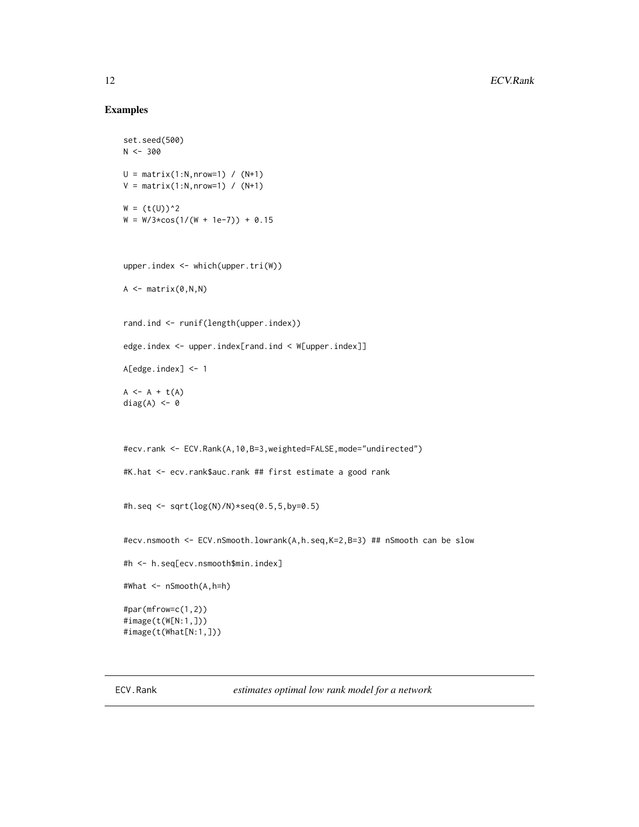#### <span id="page-11-0"></span>Examples

```
set.seed(500)
N < -300U = matrix(1:N,nrow=1) / (N+1)V = matrix(1:N,nrow=1) / (N+1)W = (t(U))^2W = W/3 * cos(1/(W + 1e-7)) + 0.15upper.index <- which(upper.tri(W))
A \leftarrow matrix(0, N, N)rand.ind <- runif(length(upper.index))
edge.index <- upper.index[rand.ind < W[upper.index]]
A[edge.index] <- 1
A \leftarrow A + t(A)diag(A) <- 0
#ecv.rank <- ECV.Rank(A,10,B=3,weighted=FALSE,mode="undirected")
#K.hat <- ecv.rank$auc.rank ## first estimate a good rank
#h.seq <- sqrt(log(N)/N)*seq(0.5,5,by=0.5)
#ecv.nsmooth <- ECV.nSmooth.lowrank(A,h.seq,K=2,B=3) ## nSmooth can be slow
#h <- h.seq[ecv.nsmooth$min.index]
#What <- nSmooth(A,h=h)
#par(mfrow=c(1,2))
#image(t(W[N:1,]))
#image(t(What[N:1,]))
```
ECV.Rank *estimates optimal low rank model for a network*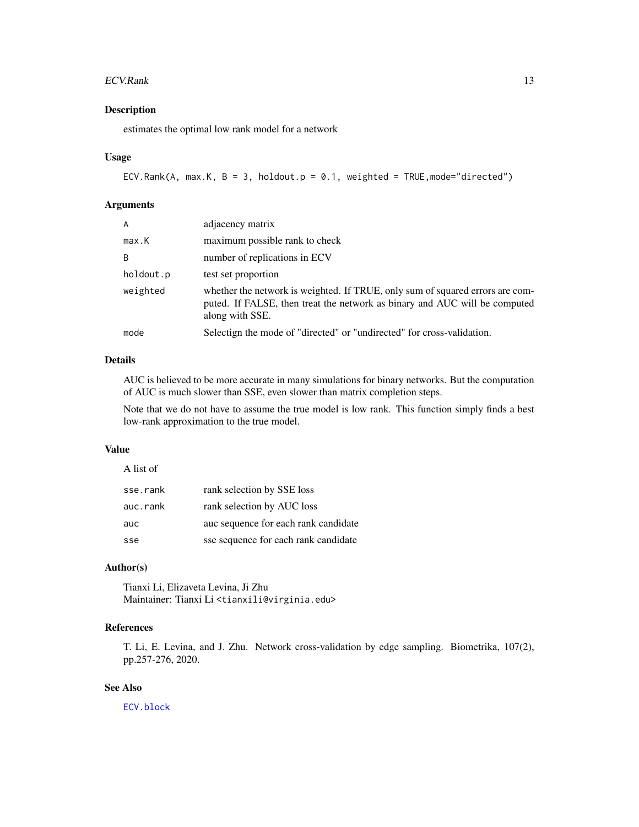#### <span id="page-12-0"></span> $ECV. Rank$  13

# Description

estimates the optimal low rank model for a network

#### Usage

```
ECV.Rank(A, max.K, B = 3, holdout.p = 0.1, weighted = TRUE, mode="directed")
```
#### Arguments

| A         | adjacency matrix                                                                                                                                                               |
|-----------|--------------------------------------------------------------------------------------------------------------------------------------------------------------------------------|
| max.K     | maximum possible rank to check                                                                                                                                                 |
| B         | number of replications in ECV                                                                                                                                                  |
| holdout.p | test set proportion                                                                                                                                                            |
| weighted  | whether the network is weighted. If TRUE, only sum of squared errors are com-<br>puted. If FALSE, then treat the network as binary and AUC will be computed<br>along with SSE. |
| mode      | Selectign the mode of "directed" or "undirected" for cross-validation.                                                                                                         |

#### Details

AUC is believed to be more accurate in many simulations for binary networks. But the computation of AUC is much slower than SSE, even slower than matrix completion steps.

Note that we do not have to assume the true model is low rank. This function simply finds a best low-rank approximation to the true model.

#### Value

A list of

| sse.rank | rank selection by SSE loss           |
|----------|--------------------------------------|
| auc.rank | rank selection by AUC loss           |
| auc      | auc sequence for each rank candidate |
| sse      | sse sequence for each rank candidate |

# Author(s)

Tianxi Li, Elizaveta Levina, Ji Zhu Maintainer: Tianxi Li <tianxili@virginia.edu>

# References

T. Li, E. Levina, and J. Zhu. Network cross-validation by edge sampling. Biometrika, 107(2), pp.257-276, 2020.

# See Also

[ECV.block](#page-8-1)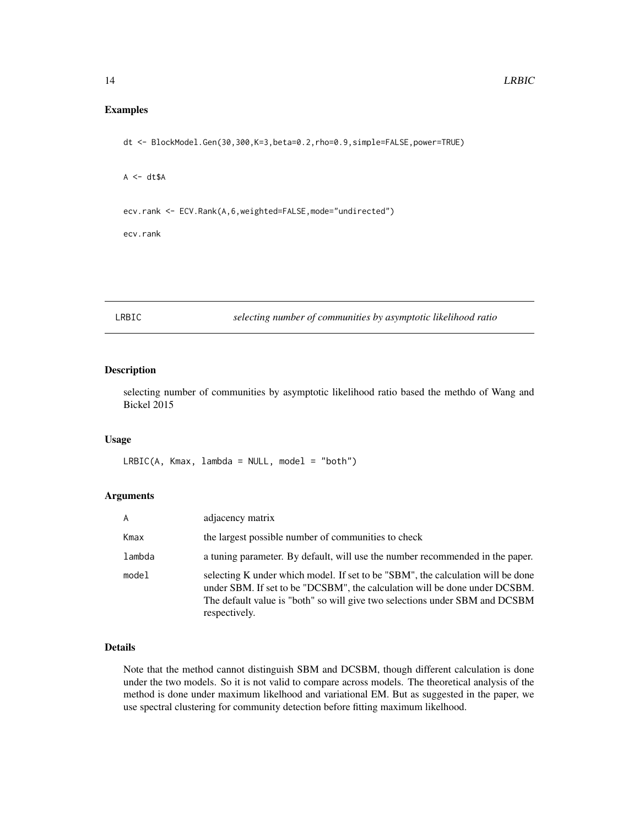#### <span id="page-13-0"></span>Examples

dt <- BlockModel.Gen(30,300,K=3,beta=0.2,rho=0.9,simple=FALSE,power=TRUE)

 $A \leftarrow dt \$A$ 

ecv.rank <- ECV.Rank(A,6,weighted=FALSE,mode="undirected")

ecv.rank

LRBIC *selecting number of communities by asymptotic likelihood ratio*

#### Description

selecting number of communities by asymptotic likelihood ratio based the methdo of Wang and Bickel 2015

#### Usage

 $LRBIC(A, Kmax, lambda = NULL, model = "both")$ 

# Arguments

| A      | adjacency matrix                                                                                                                                                                                                                                              |
|--------|---------------------------------------------------------------------------------------------------------------------------------------------------------------------------------------------------------------------------------------------------------------|
| Kmax   | the largest possible number of communities to check                                                                                                                                                                                                           |
| lambda | a tuning parameter. By default, will use the number recommended in the paper.                                                                                                                                                                                 |
| model  | selecting K under which model. If set to be "SBM", the calculation will be done<br>under SBM. If set to be "DCSBM", the calculation will be done under DCSBM.<br>The default value is "both" so will give two selections under SBM and DCSBM<br>respectively. |

#### Details

Note that the method cannot distinguish SBM and DCSBM, though different calculation is done under the two models. So it is not valid to compare across models. The theoretical analysis of the method is done under maximum likelhood and variational EM. But as suggested in the paper, we use spectral clustering for community detection before fitting maximum likelhood.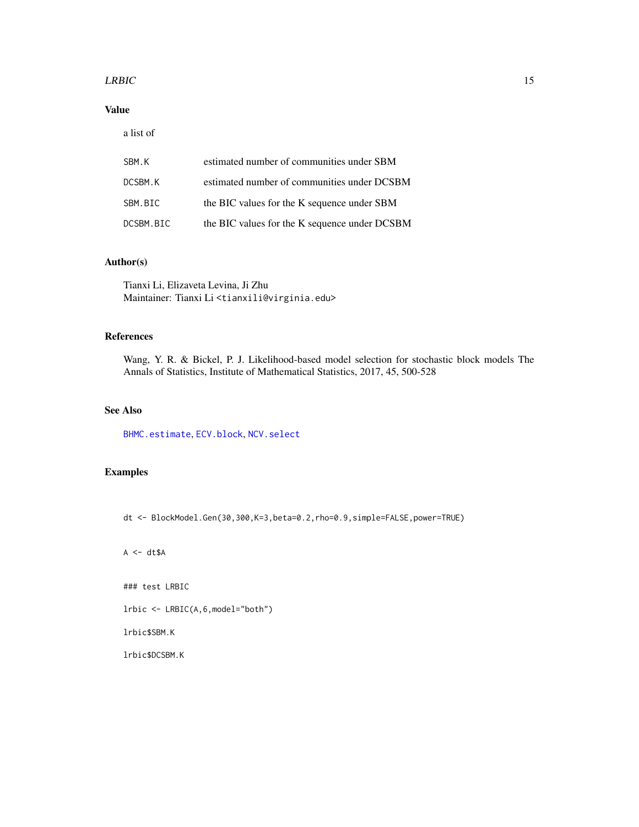#### <span id="page-14-0"></span> $LRBIC$  15

# Value

a list of

| SBM.K     | estimated number of communities under SBM     |
|-----------|-----------------------------------------------|
| DCSBM.K   | estimated number of communities under DCSBM   |
| SBM.BIC   | the BIC values for the K sequence under SBM   |
| DCSBM.BIC | the BIC values for the K sequence under DCSBM |

# Author(s)

Tianxi Li, Elizaveta Levina, Ji Zhu Maintainer: Tianxi Li <tianxili@virginia.edu>

#### References

Wang, Y. R. & Bickel, P. J. Likelihood-based model selection for stochastic block models The Annals of Statistics, Institute of Mathematical Statistics, 2017, 45, 500-528

#### See Also

[BHMC.estimate](#page-3-1), [ECV.block](#page-8-1), [NCV.select](#page-16-1)

# Examples

dt <- BlockModel.Gen(30,300,K=3,beta=0.2,rho=0.9,simple=FALSE,power=TRUE)

 $A \leq -dt \$ A$ 

### test LRBIC

lrbic <- LRBIC(A,6,model="both")

lrbic\$SBM.K

lrbic\$DCSBM.K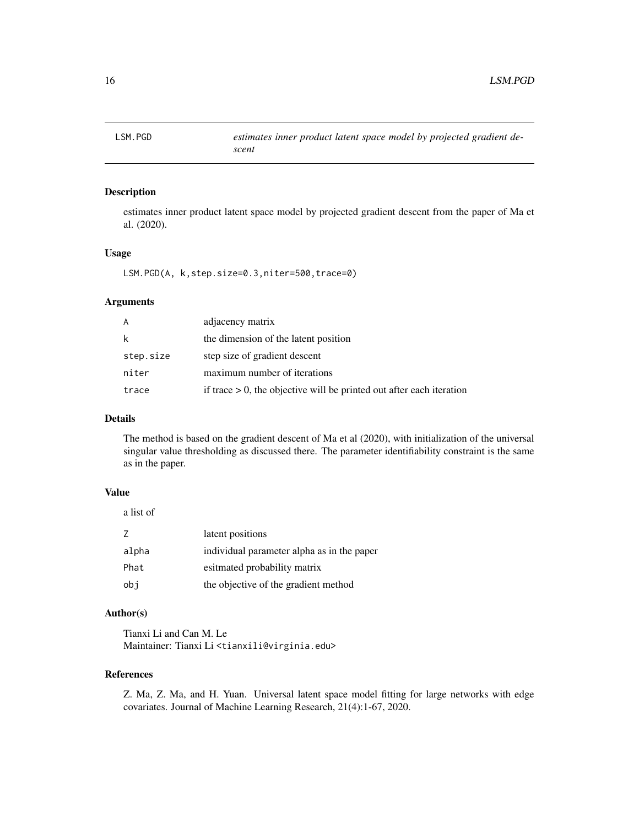<span id="page-15-1"></span><span id="page-15-0"></span>

estimates inner product latent space model by projected gradient descent from the paper of Ma et al. (2020).

#### Usage

LSM.PGD(A, k,step.size=0.3,niter=500,trace=0)

#### Arguments

| A         | adjacency matrix                                                        |
|-----------|-------------------------------------------------------------------------|
| k         | the dimension of the latent position                                    |
| step.size | step size of gradient descent                                           |
| niter     | maximum number of iterations                                            |
| trace     | if trace $> 0$ , the objective will be printed out after each iteration |

# Details

The method is based on the gradient descent of Ma et al (2020), with initialization of the universal singular value thresholding as discussed there. The parameter identifiability constraint is the same as in the paper.

#### Value

a list of

| 7     | latent positions                           |
|-------|--------------------------------------------|
| alpha | individual parameter alpha as in the paper |
| Phat  | esitmated probability matrix               |
| obi   | the objective of the gradient method       |

# Author(s)

Tianxi Li and Can M. Le Maintainer: Tianxi Li <tianxili@virginia.edu>

#### References

Z. Ma, Z. Ma, and H. Yuan. Universal latent space model fitting for large networks with edge covariates. Journal of Machine Learning Research, 21(4):1-67, 2020.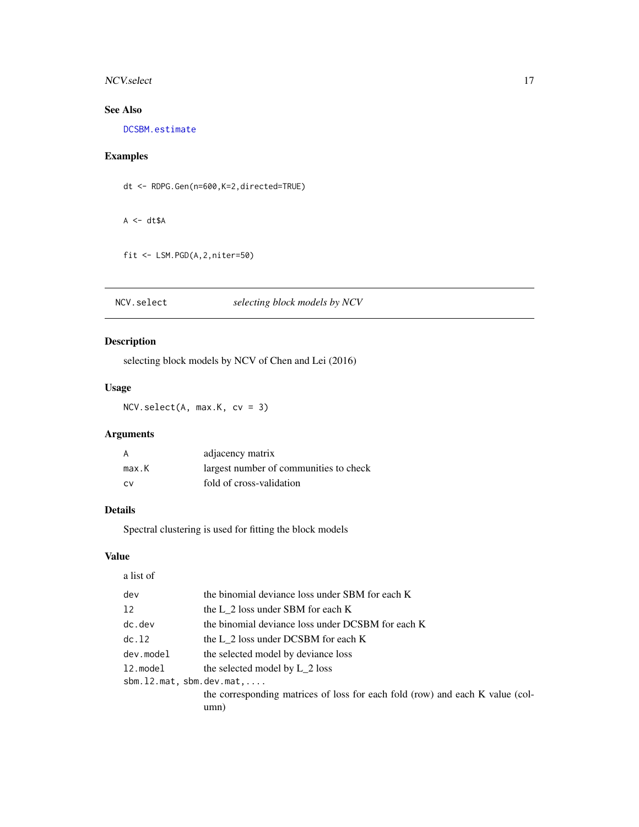#### <span id="page-16-0"></span>NCV.select 17

# See Also

[DCSBM.estimate](#page-7-1)

# Examples

dt <- RDPG.Gen(n=600,K=2,directed=TRUE)

 $A \leftarrow dt \$A$ 

```
fit <- LSM.PGD(A,2,niter=50)
```
<span id="page-16-1"></span>NCV.select *selecting block models by NCV*

# Description

selecting block models by NCV of Chen and Lei (2016)

# Usage

NCV.select(A, max.K, cv = 3)

# Arguments

| A     | adjacency matrix                       |
|-------|----------------------------------------|
| max.K | largest number of communities to check |
| – C.V | fold of cross-validation               |

#### Details

Spectral clustering is used for fitting the block models

#### Value

| a list of                          |                                                                                       |
|------------------------------------|---------------------------------------------------------------------------------------|
| dev                                | the binomial deviance loss under SBM for each K                                       |
| 12                                 | the L 2 loss under SBM for each K                                                     |
| $dc.$ dev                          | the binomial deviance loss under DCSBM for each K                                     |
| dc.12                              | the L 2 loss under DCSBM for each K                                                   |
| dev.model                          | the selected model by deviance loss                                                   |
| 12.model                           | the selected model by L 2 loss                                                        |
| $sbm.12.mat, sbm. dev.mat, \ldots$ |                                                                                       |
|                                    | the corresponding matrices of loss for each fold (row) and each K value (col-<br>umn) |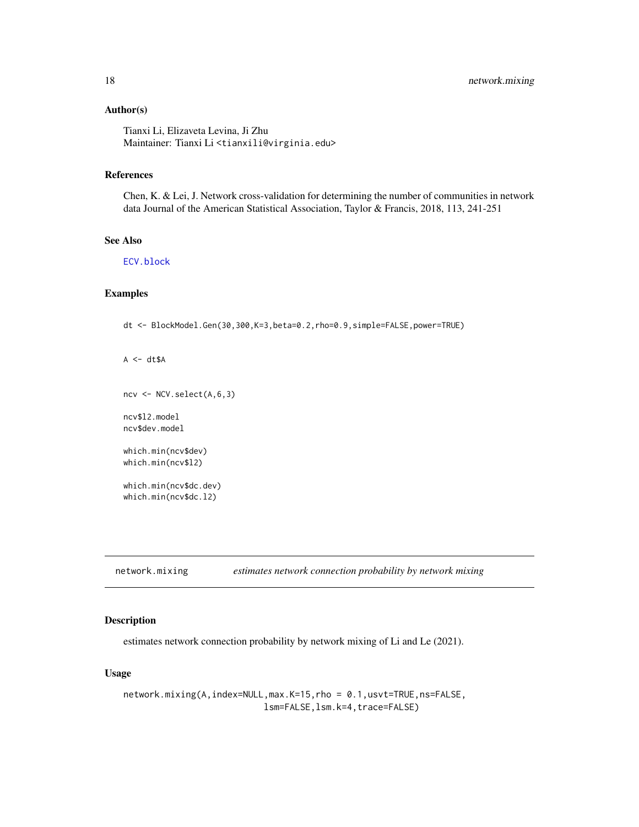#### <span id="page-17-0"></span>Author(s)

Tianxi Li, Elizaveta Levina, Ji Zhu Maintainer: Tianxi Li <tianxili@virginia.edu>

#### References

Chen, K. & Lei, J. Network cross-validation for determining the number of communities in network data Journal of the American Statistical Association, Taylor & Francis, 2018, 113, 241-251

# See Also

[ECV.block](#page-8-1)

#### Examples

dt <- BlockModel.Gen(30,300,K=3,beta=0.2,rho=0.9,simple=FALSE,power=TRUE)

 $A \leftarrow dt \$A$ 

ncv <- NCV.select(A,6,3)

ncv\$l2.model ncv\$dev.model

which.min(ncv\$dev) which.min(ncv\$l2)

which.min(ncv\$dc.dev) which.min(ncv\$dc.l2)

<span id="page-17-1"></span>network.mixing *estimates network connection probability by network mixing*

# Description

estimates network connection probability by network mixing of Li and Le (2021).

#### Usage

```
network.mixing(A,index=NULL,max.K=15,rho = 0.1,usvt=TRUE,ns=FALSE,
                           lsm=FALSE,lsm.k=4,trace=FALSE)
```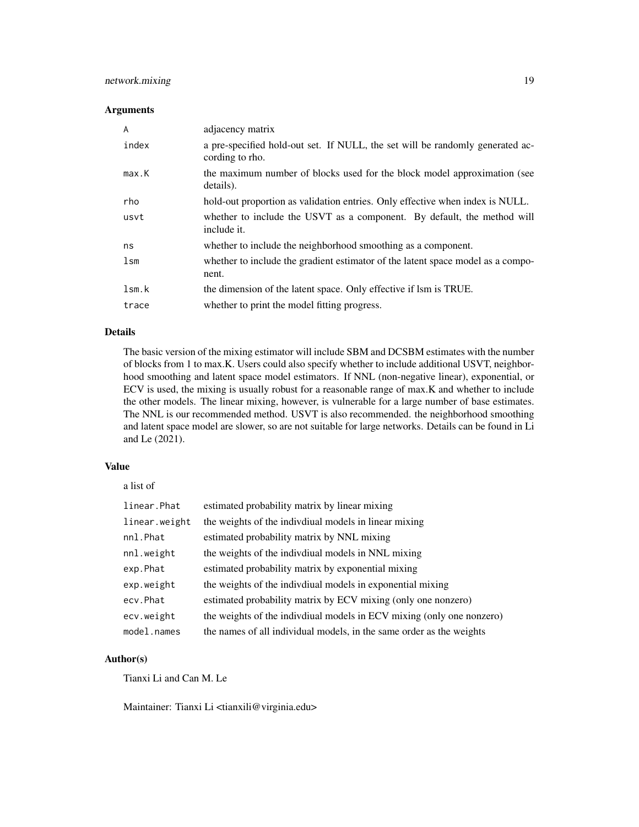# network.mixing 19

#### Arguments

| A     | adjacency matrix                                                                                 |
|-------|--------------------------------------------------------------------------------------------------|
| index | a pre-specified hold-out set. If NULL, the set will be randomly generated ac-<br>cording to rho. |
| max.K | the maximum number of blocks used for the block model approximation (see<br>details).            |
| rho   | hold-out proportion as validation entries. Only effective when index is NULL.                    |
| usvt  | whether to include the USVT as a component. By default, the method will<br>include it.           |
| ns    | whether to include the neighborhood smoothing as a component.                                    |
| lsm   | whether to include the gradient estimator of the latent space model as a compo-<br>nent.         |
| lsm.k | the dimension of the latent space. Only effective if lsm is TRUE.                                |
| trace | whether to print the model fitting progress.                                                     |

#### Details

The basic version of the mixing estimator will include SBM and DCSBM estimates with the number of blocks from 1 to max.K. Users could also specify whether to include additional USVT, neighborhood smoothing and latent space model estimators. If NNL (non-negative linear), exponential, or ECV is used, the mixing is usually robust for a reasonable range of max.K and whether to include the other models. The linear mixing, however, is vulnerable for a large number of base estimates. The NNL is our recommended method. USVT is also recommended. the neighborhood smoothing and latent space model are slower, so are not suitable for large networks. Details can be found in Li and Le (2021).

#### Value

a list of

| linear.Phat   | estimated probability matrix by linear mixing                         |
|---------------|-----------------------------------------------------------------------|
| linear.weight | the weights of the indivdiual models in linear mixing                 |
| nnl.Phat      | estimated probability matrix by NNL mixing                            |
| nnl.weight    | the weights of the indivdiual models in NNL mixing                    |
| exp.Phat      | estimated probability matrix by exponential mixing                    |
| exp.weight    | the weights of the individual models in exponential mixing            |
| ecv.Phat      | estimated probability matrix by ECV mixing (only one nonzero)         |
| ecv.weight    | the weights of the indivdiual models in ECV mixing (only one nonzero) |
| model.names   | the names of all individual models, in the same order as the weights  |

#### Author(s)

Tianxi Li and Can M. Le

Maintainer: Tianxi Li <tianxili@virginia.edu>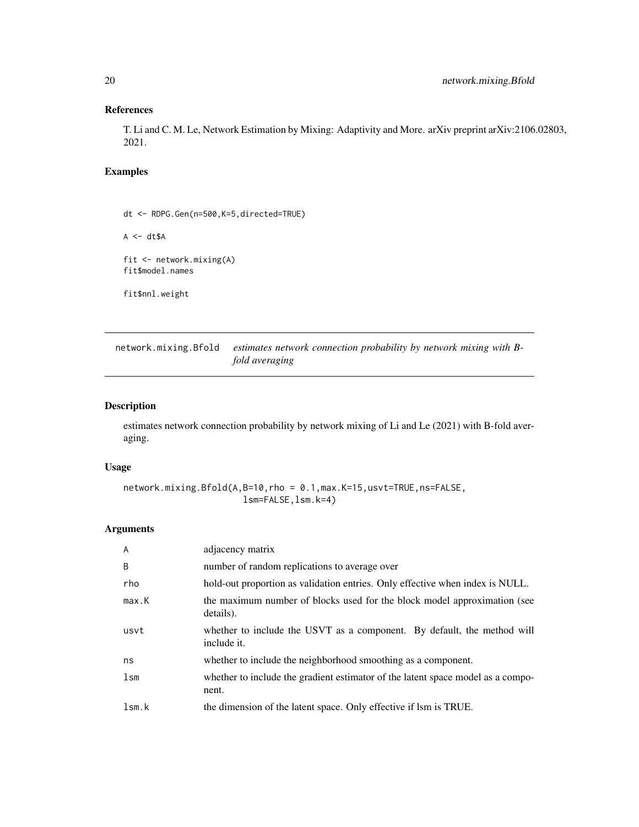# <span id="page-19-0"></span>References

T. Li and C. M. Le, Network Estimation by Mixing: Adaptivity and More. arXiv preprint arXiv:2106.02803, 2021.

# Examples

dt <- RDPG.Gen(n=500,K=5,directed=TRUE)

 $A \leq -dt \$ A$ 

fit <- network.mixing(A) fit\$model.names

fit\$nnl.weight

network.mixing.Bfold *estimates network connection probability by network mixing with Bfold averaging*

# Description

estimates network connection probability by network mixing of Li and Le (2021) with B-fold averaging.

#### Usage

network.mixing.Bfold(A,B=10,rho = 0.1,max.K=15,usvt=TRUE,ns=FALSE, lsm=FALSE,lsm.k=4)

#### Arguments

| $\overline{A}$ | adjacency matrix                                                                         |
|----------------|------------------------------------------------------------------------------------------|
| B              | number of random replications to average over                                            |
| rho            | hold-out proportion as validation entries. Only effective when index is NULL.            |
| max.K          | the maximum number of blocks used for the block model approximation (see<br>details).    |
| usvt           | whether to include the USVT as a component. By default, the method will<br>include it.   |
| ns             | whether to include the neighborhood smoothing as a component.                            |
| lsm            | whether to include the gradient estimator of the latent space model as a compo-<br>nent. |
| lsm.k          | the dimension of the latent space. Only effective if lsm is TRUE.                        |
|                |                                                                                          |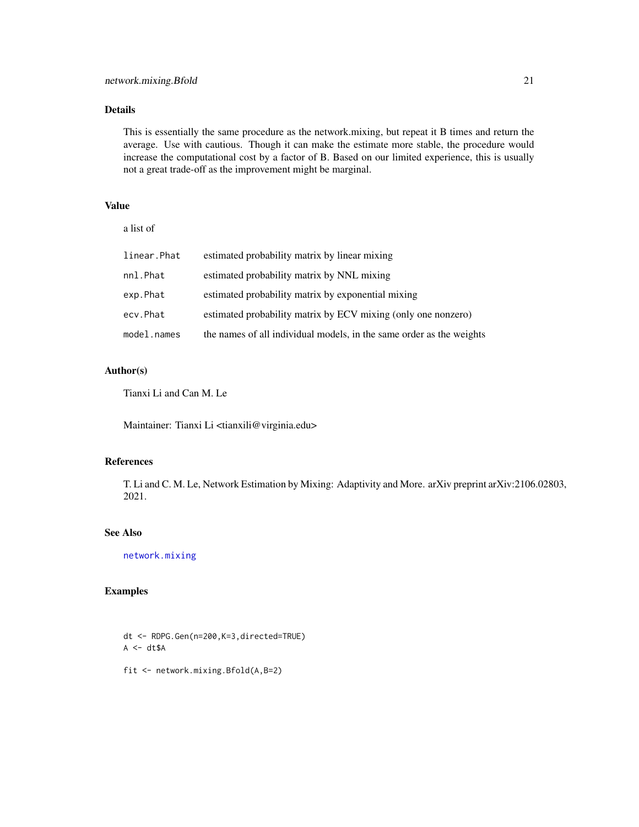# <span id="page-20-0"></span>Details

This is essentially the same procedure as the network.mixing, but repeat it B times and return the average. Use with cautious. Though it can make the estimate more stable, the procedure would increase the computational cost by a factor of B. Based on our limited experience, this is usually not a great trade-off as the improvement might be marginal.

# Value

| a list of   |                                                                      |
|-------------|----------------------------------------------------------------------|
| linear.Phat | estimated probability matrix by linear mixing                        |
| nnl.Phat    | estimated probability matrix by NNL mixing                           |
| exp.Phat    | estimated probability matrix by exponential mixing                   |
| ecv.Phat    | estimated probability matrix by ECV mixing (only one nonzero)        |
| model.names | the names of all individual models, in the same order as the weights |

# Author(s)

Tianxi Li and Can M. Le

Maintainer: Tianxi Li <tianxili@virginia.edu>

#### References

T. Li and C. M. Le, Network Estimation by Mixing: Adaptivity and More. arXiv preprint arXiv:2106.02803, 2021.

### See Also

[network.mixing](#page-17-1)

# Examples

dt <- RDPG.Gen(n=200,K=3,directed=TRUE)  $A \leftarrow dt \$A$ 

fit <- network.mixing.Bfold(A,B=2)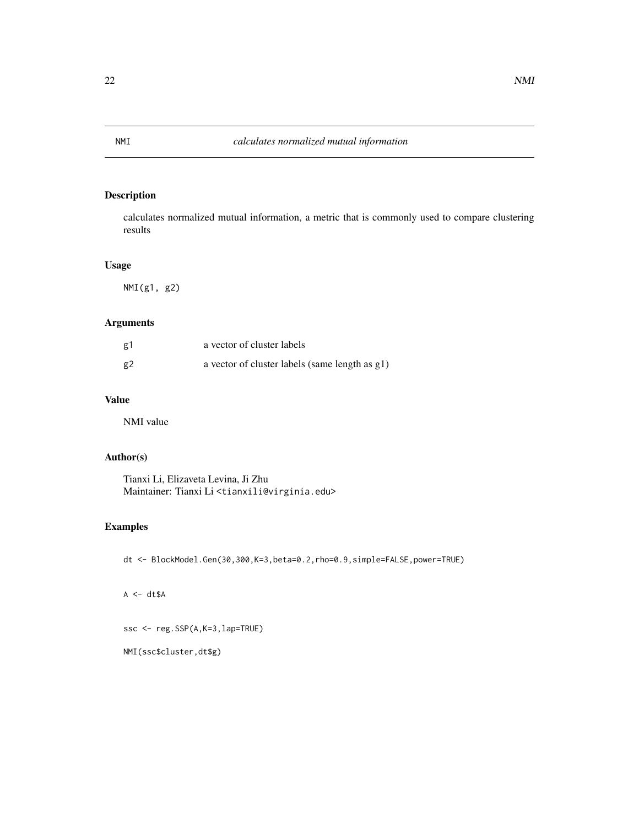calculates normalized mutual information, a metric that is commonly used to compare clustering results

#### Usage

NMI(g1, g2)

# Arguments

| g1 | a vector of cluster labels                     |
|----|------------------------------------------------|
| g2 | a vector of cluster labels (same length as g1) |

# Value

NMI value

# Author(s)

Tianxi Li, Elizaveta Levina, Ji Zhu Maintainer: Tianxi Li <tianxili@virginia.edu>

# Examples

dt <- BlockModel.Gen(30,300,K=3,beta=0.2,rho=0.9,simple=FALSE,power=TRUE)

 $A \leq -dt \$ A$ 

ssc <- reg.SSP(A,K=3,lap=TRUE)

NMI(ssc\$cluster,dt\$g)

<span id="page-21-0"></span>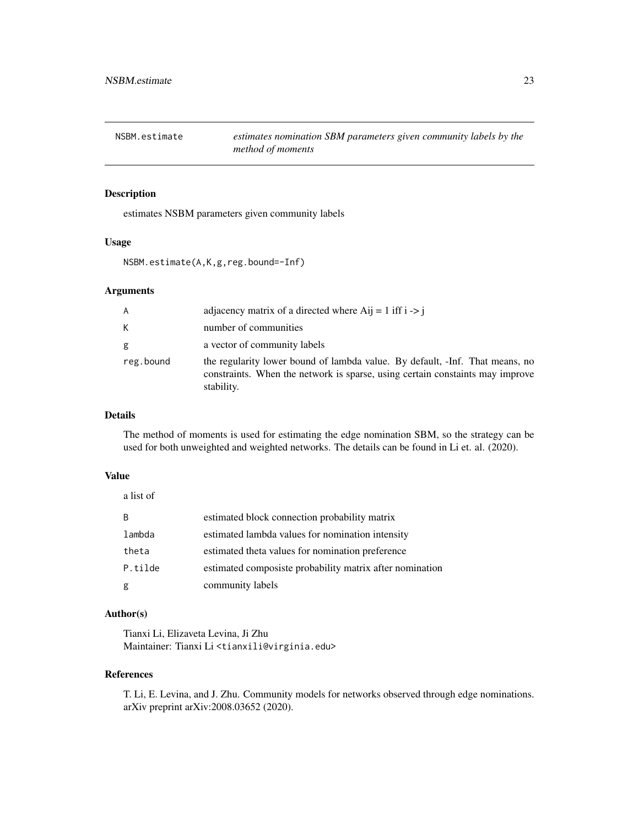<span id="page-22-0"></span>

estimates NSBM parameters given community labels

#### Usage

NSBM.estimate(A,K,g,reg.bound=-Inf)

#### Arguments

| A         | adjacency matrix of a directed where $\text{Aij} = 1$ iff i $\rightarrow$ i                                                                                                 |
|-----------|-----------------------------------------------------------------------------------------------------------------------------------------------------------------------------|
| K         | number of communities                                                                                                                                                       |
| g         | a vector of community labels                                                                                                                                                |
| reg.bound | the regularity lower bound of lambda value. By default, -Inf. That means, no<br>constraints. When the network is sparse, using certain constaints may improve<br>stability. |

#### Details

The method of moments is used for estimating the edge nomination SBM, so the strategy can be used for both unweighted and weighted networks. The details can be found in Li et. al. (2020).

#### Value

a list of

| B.      | estimated block connection probability matrix            |
|---------|----------------------------------------------------------|
| lambda  | estimated lambda values for nomination intensity         |
| theta   | estimated theta values for nomination preference         |
| P.tilde | estimated composiste probability matrix after nomination |
| g       | community labels                                         |

# Author(s)

Tianxi Li, Elizaveta Levina, Ji Zhu Maintainer: Tianxi Li <tianxili@virginia.edu>

#### References

T. Li, E. Levina, and J. Zhu. Community models for networks observed through edge nominations. arXiv preprint arXiv:2008.03652 (2020).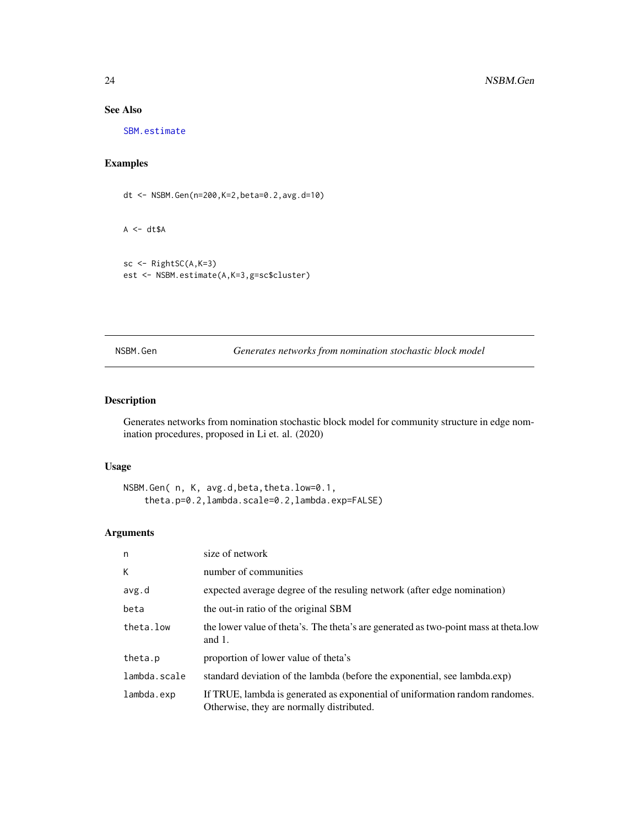# See Also

[SBM.estimate](#page-31-1)

# Examples

dt <- NSBM.Gen(n=200,K=2,beta=0.2,avg.d=10)

 $A \leq -dt \$ A$ 

```
sc <- RightSC(A,K=3)
est <- NSBM.estimate(A,K=3,g=sc$cluster)
```
NSBM.Gen *Generates networks from nomination stochastic block model*

# Description

Generates networks from nomination stochastic block model for community structure in edge nomination procedures, proposed in Li et. al. (2020)

#### Usage

```
NSBM.Gen( n, K, avg.d,beta,theta.low=0.1,
    theta.p=0.2,lambda.scale=0.2,lambda.exp=FALSE)
```
# Arguments

| n            | size of network                                                                                                           |
|--------------|---------------------------------------------------------------------------------------------------------------------------|
| К            | number of communities                                                                                                     |
| avg.d        | expected average degree of the resuling network (after edge nomination)                                                   |
| beta         | the out-in ratio of the original SBM                                                                                      |
| theta.low    | the lower value of theta's. The theta's are generated as two-point mass at theta. low<br>and $1$ .                        |
| theta.p      | proportion of lower value of theta's                                                                                      |
| lambda.scale | standard deviation of the lambda (before the exponential, see lambda.exp)                                                 |
| lambda.exp   | If TRUE, lambda is generated as exponential of uniformation random randomes.<br>Otherwise, they are normally distributed. |

<span id="page-23-0"></span>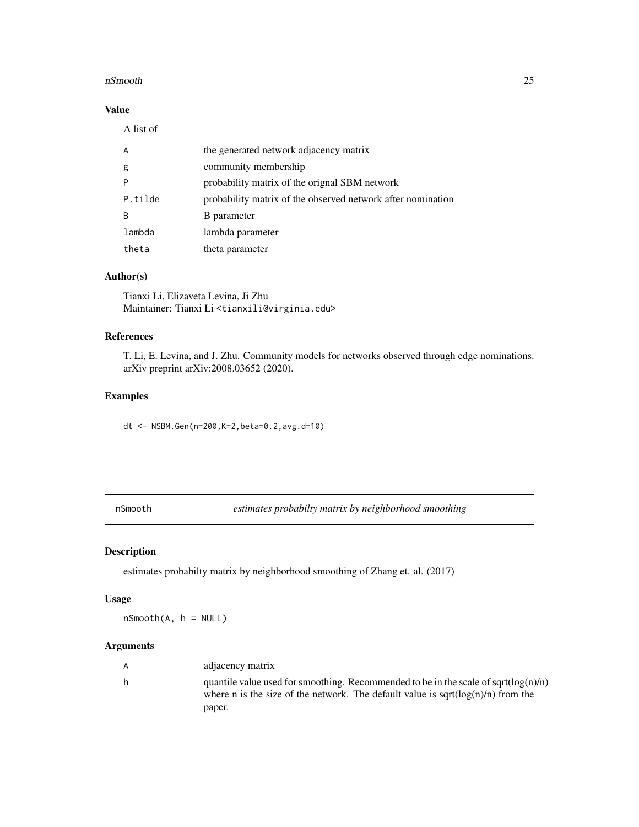#### <span id="page-24-0"></span>nSmooth 25

# Value

| A       | the generated network adjacency matrix                      |
|---------|-------------------------------------------------------------|
| g       | community membership                                        |
| P       | probability matrix of the orignal SBM network               |
| P.tilde | probability matrix of the observed network after nomination |
| B       | <b>B</b> parameter                                          |
| lambda  | lambda parameter                                            |
| theta   | theta parameter                                             |

# Author(s)

Tianxi Li, Elizaveta Levina, Ji Zhu Maintainer: Tianxi Li <tianxili@virginia.edu>

# References

T. Li, E. Levina, and J. Zhu. Community models for networks observed through edge nominations. arXiv preprint arXiv:2008.03652 (2020).

# Examples

dt <- NSBM.Gen(n=200,K=2,beta=0.2,avg.d=10)

nSmooth *estimates probabilty matrix by neighborhood smoothing*

# Description

estimates probabilty matrix by neighborhood smoothing of Zhang et. al. (2017)

#### Usage

nSmooth(A, h = NULL)

# Arguments

| A  | adjacency matrix                                                                                                                                                                         |
|----|------------------------------------------------------------------------------------------------------------------------------------------------------------------------------------------|
| h. | quantile value used for smoothing. Recommended to be in the scale of sqrt $(log(n)/n)$<br>where n is the size of the network. The default value is sqrt $(\log(n)/n)$ from the<br>paper. |
|    |                                                                                                                                                                                          |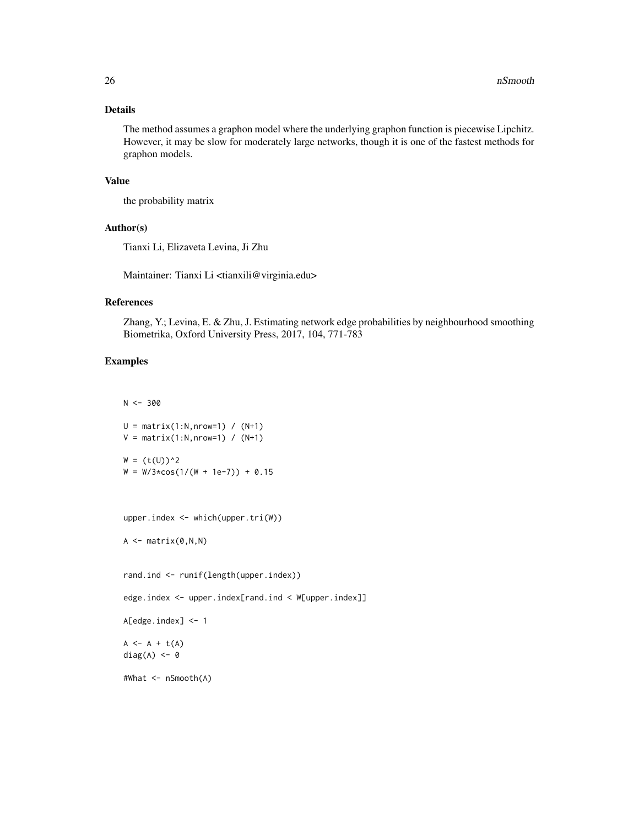#### Details

The method assumes a graphon model where the underlying graphon function is piecewise Lipchitz. However, it may be slow for moderately large networks, though it is one of the fastest methods for graphon models.

#### Value

the probability matrix

#### Author(s)

Tianxi Li, Elizaveta Levina, Ji Zhu

Maintainer: Tianxi Li <tianxili@virginia.edu>

#### References

Zhang, Y.; Levina, E. & Zhu, J. Estimating network edge probabilities by neighbourhood smoothing Biometrika, Oxford University Press, 2017, 104, 771-783

# Examples

 $N < -300$ 

```
U = matrix(1:N,nrow=1) / (N+1)V = matrix(1:N,nrow=1) / (N+1)W = (t(U))^2W = W/3 \times \cos(1/(W + 1e-7)) + 0.15upper.index <- which(upper.tri(W))
A \leftarrow matrix(0, N, N)rand.ind <- runif(length(upper.index))
edge.index <- upper.index[rand.ind < W[upper.index]]
A[edge.index] <- 1
A \leftarrow A + t(A)diag(A) <- 0
#What <- nSmooth(A)
```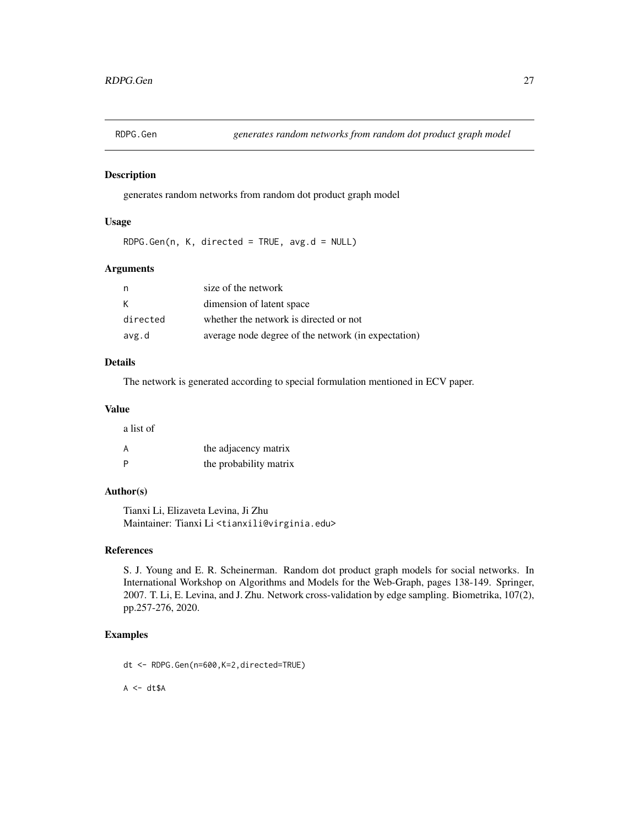<span id="page-26-0"></span>

generates random networks from random dot product graph model

#### Usage

RDPG.Gen(n, K, directed = TRUE, avg.d = NULL)

#### Arguments

| n        | size of the network                                 |
|----------|-----------------------------------------------------|
| К        | dimension of latent space                           |
| directed | whether the network is directed or not              |
| avg.d    | average node degree of the network (in expectation) |

# Details

The network is generated according to special formulation mentioned in ECV paper.

#### Value

a list of

| . |                        |
|---|------------------------|
| А | the adjacency matrix   |
| P | the probability matrix |

# Author(s)

Tianxi Li, Elizaveta Levina, Ji Zhu Maintainer: Tianxi Li <tianxili@virginia.edu>

#### References

S. J. Young and E. R. Scheinerman. Random dot product graph models for social networks. In International Workshop on Algorithms and Models for the Web-Graph, pages 138-149. Springer, 2007. T. Li, E. Levina, and J. Zhu. Network cross-validation by edge sampling. Biometrika, 107(2), pp.257-276, 2020.

#### Examples

dt <- RDPG.Gen(n=600,K=2,directed=TRUE)

 $A \leftarrow dt \$A$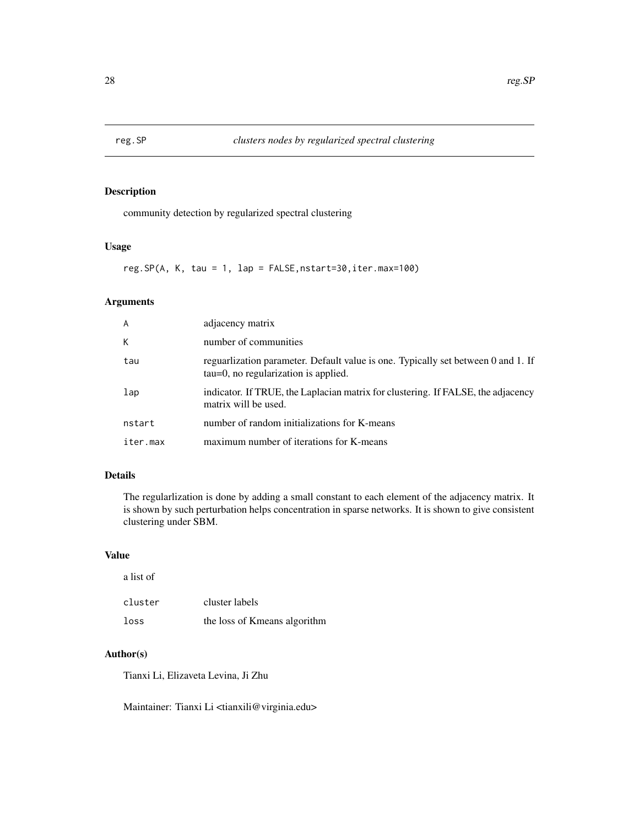<span id="page-27-1"></span><span id="page-27-0"></span>

community detection by regularized spectral clustering

# Usage

reg.SP(A, K, tau = 1, lap = FALSE,nstart=30,iter.max=100)

#### Arguments

| A        | adjacency matrix                                                                                                         |
|----------|--------------------------------------------------------------------------------------------------------------------------|
| К        | number of communities                                                                                                    |
| tau      | reguarization parameter. Default value is one. Typically set between 0 and 1. If<br>tau=0, no regularization is applied. |
| lap      | indicator. If TRUE, the Laplacian matrix for clustering. If FALSE, the adjacency<br>matrix will be used.                 |
| nstart   | number of random initializations for K-means                                                                             |
| iter.max | maximum number of iterations for K-means                                                                                 |

#### Details

The regularlization is done by adding a small constant to each element of the adjacency matrix. It is shown by such perturbation helps concentration in sparse networks. It is shown to give consistent clustering under SBM.

#### Value

a list of

| cluster | cluster labels               |
|---------|------------------------------|
| loss    | the loss of Kmeans algorithm |

# Author(s)

Tianxi Li, Elizaveta Levina, Ji Zhu

Maintainer: Tianxi Li <tianxili@virginia.edu>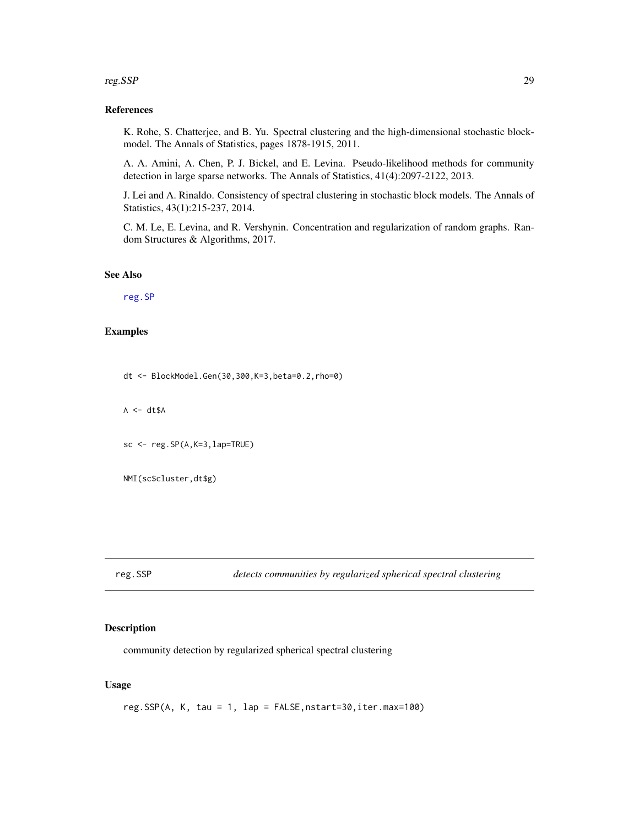#### <span id="page-28-0"></span>reg.SSP 29

#### References

K. Rohe, S. Chatterjee, and B. Yu. Spectral clustering and the high-dimensional stochastic blockmodel. The Annals of Statistics, pages 1878-1915, 2011.

A. A. Amini, A. Chen, P. J. Bickel, and E. Levina. Pseudo-likelihood methods for community detection in large sparse networks. The Annals of Statistics, 41(4):2097-2122, 2013.

J. Lei and A. Rinaldo. Consistency of spectral clustering in stochastic block models. The Annals of Statistics, 43(1):215-237, 2014.

C. M. Le, E. Levina, and R. Vershynin. Concentration and regularization of random graphs. Random Structures & Algorithms, 2017.

### See Also

[reg.SP](#page-27-1)

#### Examples

dt <- BlockModel.Gen(30,300,K=3,beta=0.2,rho=0)

 $A \leftarrow dt \$A$ 

 $sc < -reg.SP(A,K=3,lap=TRUE)$ 

```
NMI(sc$cluster,dt$g)
```
reg.SSP *detects communities by regularized spherical spectral clustering*

#### Description

community detection by regularized spherical spectral clustering

#### Usage

reg.SSP(A, K, tau = 1, lap = FALSE,nstart=30,iter.max=100)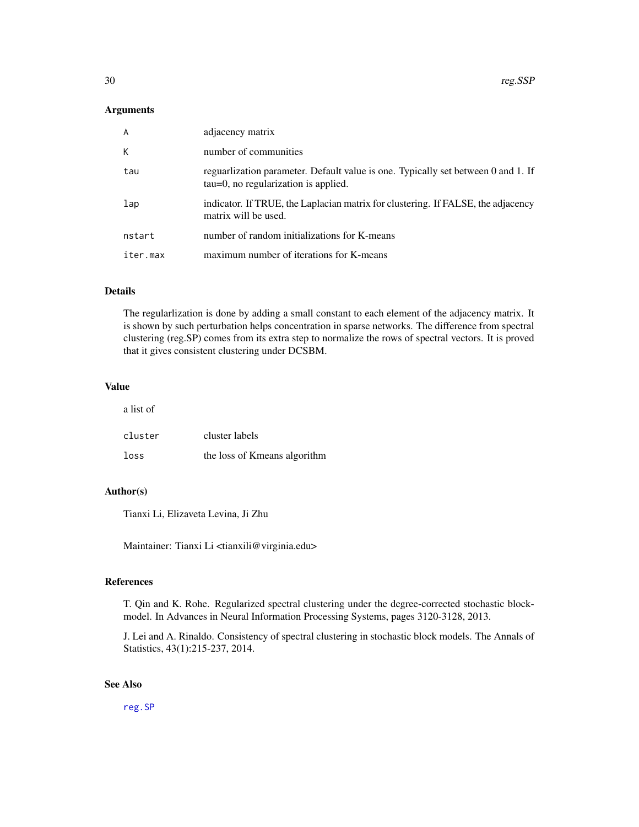#### <span id="page-29-0"></span>Arguments

| A        | adjacency matrix                                                                                                         |
|----------|--------------------------------------------------------------------------------------------------------------------------|
| К        | number of communities                                                                                                    |
| tau      | reguarization parameter. Default value is one. Typically set between 0 and 1. If<br>tau=0, no regularization is applied. |
| lap      | indicator. If TRUE, the Laplacian matrix for clustering. If FALSE, the adjacency<br>matrix will be used.                 |
| nstart   | number of random initializations for K-means                                                                             |
| iter.max | maximum number of iterations for K-means                                                                                 |

#### Details

The regularlization is done by adding a small constant to each element of the adjacency matrix. It is shown by such perturbation helps concentration in sparse networks. The difference from spectral clustering (reg.SP) comes from its extra step to normalize the rows of spectral vectors. It is proved that it gives consistent clustering under DCSBM.

#### Value

a list of

| cluster | cluster labels               |
|---------|------------------------------|
| loss    | the loss of Kmeans algorithm |

# Author(s)

Tianxi Li, Elizaveta Levina, Ji Zhu

Maintainer: Tianxi Li <tianxili@virginia.edu>

#### References

T. Qin and K. Rohe. Regularized spectral clustering under the degree-corrected stochastic blockmodel. In Advances in Neural Information Processing Systems, pages 3120-3128, 2013.

J. Lei and A. Rinaldo. Consistency of spectral clustering in stochastic block models. The Annals of Statistics, 43(1):215-237, 2014.

#### See Also

[reg.SP](#page-27-1)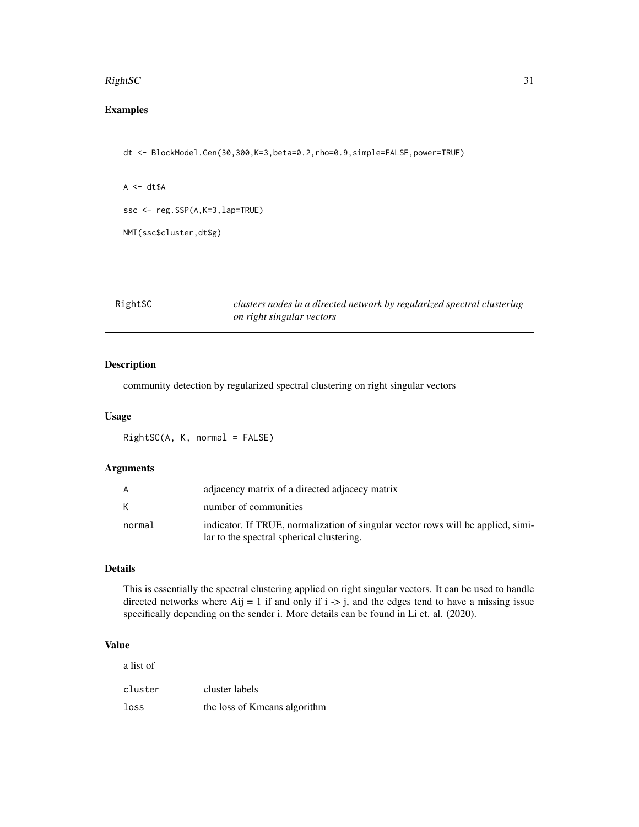#### <span id="page-30-0"></span> $RightSC$  31

# Examples

dt <- BlockModel.Gen(30,300,K=3,beta=0.2,rho=0.9,simple=FALSE,power=TRUE)

```
A \leftarrow dt \$Assc <- reg.SSP(A,K=3,lap=TRUE)
```
NMI(ssc\$cluster,dt\$g)

| RightSC | clusters nodes in a directed network by regularized spectral clustering |
|---------|-------------------------------------------------------------------------|
|         | on right singular vectors                                               |

# Description

community detection by regularized spectral clustering on right singular vectors

#### Usage

RightSC(A, K, normal = FALSE)

#### Arguments

|        | adjacency matrix of a directed adjacecy matrix                                                                                |
|--------|-------------------------------------------------------------------------------------------------------------------------------|
|        | number of communities                                                                                                         |
| normal | indicator. If TRUE, normalization of singular vector rows will be applied, simi-<br>lar to the spectral spherical clustering. |

#### Details

This is essentially the spectral clustering applied on right singular vectors. It can be used to handle directed networks where  $\text{Aij} = 1$  if and only if  $i \rightarrow j$ , and the edges tend to have a missing issue specifically depending on the sender i. More details can be found in Li et. al. (2020).

#### Value

| a list of |                              |
|-----------|------------------------------|
| cluster   | cluster labels               |
| loss      | the loss of Kmeans algorithm |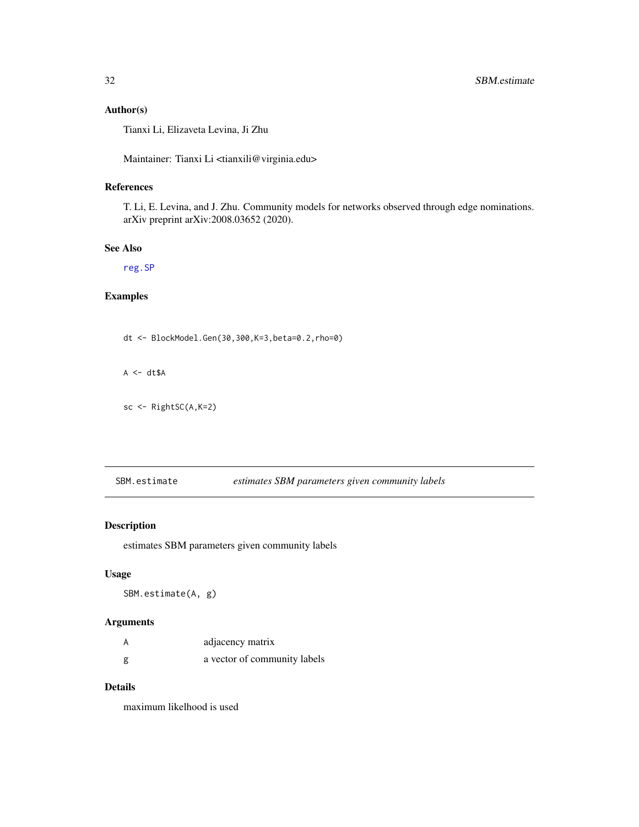# <span id="page-31-0"></span>Author(s)

Tianxi Li, Elizaveta Levina, Ji Zhu

Maintainer: Tianxi Li <tianxili@virginia.edu>

# References

T. Li, E. Levina, and J. Zhu. Community models for networks observed through edge nominations. arXiv preprint arXiv:2008.03652 (2020).

#### See Also

[reg.SP](#page-27-1)

# Examples

dt <- BlockModel.Gen(30,300,K=3,beta=0.2,rho=0)

 $A \leftarrow dt \$A$ 

```
sc <- RightSC(A,K=2)
```
<span id="page-31-1"></span>SBM.estimate *estimates SBM parameters given community labels*

#### Description

estimates SBM parameters given community labels

# Usage

SBM.estimate(A, g)

#### Arguments

|   | adjacency matrix             |
|---|------------------------------|
| g | a vector of community labels |

#### Details

maximum likelhood is used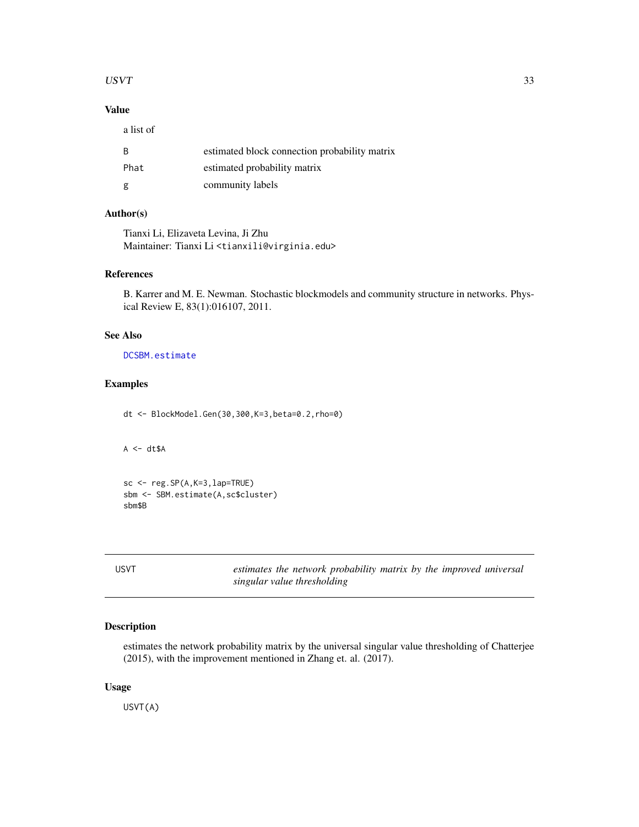#### <span id="page-32-0"></span> $USVT$  33

# Value

a list of

| - B  | estimated block connection probability matrix |
|------|-----------------------------------------------|
| Phat | estimated probability matrix                  |
| g    | community labels                              |

# Author(s)

Tianxi Li, Elizaveta Levina, Ji Zhu Maintainer: Tianxi Li <tianxili@virginia.edu>

# References

B. Karrer and M. E. Newman. Stochastic blockmodels and community structure in networks. Physical Review E, 83(1):016107, 2011.

# See Also

[DCSBM.estimate](#page-7-1)

#### Examples

dt <- BlockModel.Gen(30,300,K=3,beta=0.2,rho=0)

 $A \leftarrow dt \$A$ 

sc <- reg.SP(A,K=3,lap=TRUE) sbm <- SBM.estimate(A,sc\$cluster) sbm\$B

USVT *estimates the network probability matrix by the improved universal singular value thresholding*

# Description

estimates the network probability matrix by the universal singular value thresholding of Chatterjee (2015), with the improvement mentioned in Zhang et. al. (2017).

#### Usage

USVT(A)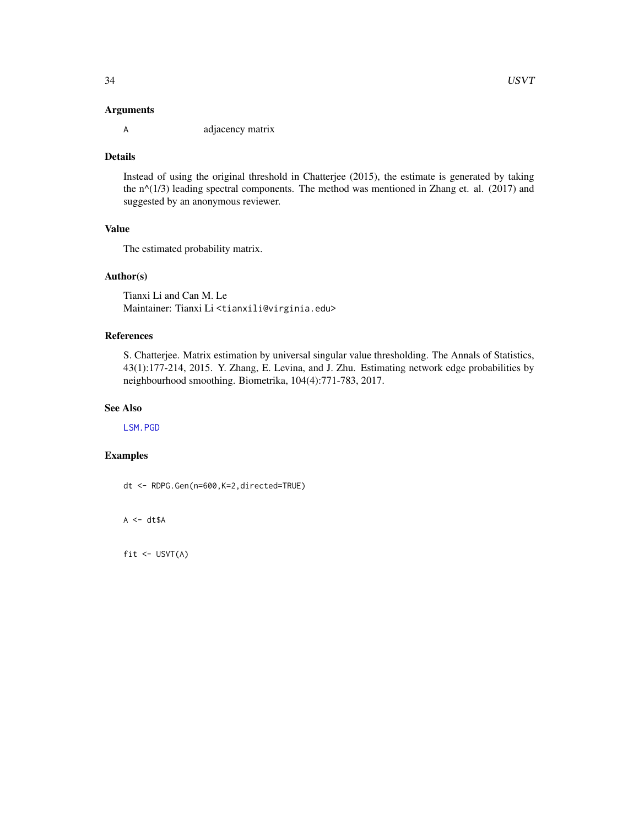#### <span id="page-33-0"></span>Arguments

A adjacency matrix

#### Details

Instead of using the original threshold in Chatterjee (2015), the estimate is generated by taking the  $n^{\wedge}(1/3)$  leading spectral components. The method was mentioned in Zhang et. al. (2017) and suggested by an anonymous reviewer.

#### Value

The estimated probability matrix.

#### Author(s)

Tianxi Li and Can M. Le Maintainer: Tianxi Li <tianxili@virginia.edu>

#### References

S. Chatterjee. Matrix estimation by universal singular value thresholding. The Annals of Statistics, 43(1):177-214, 2015. Y. Zhang, E. Levina, and J. Zhu. Estimating network edge probabilities by neighbourhood smoothing. Biometrika, 104(4):771-783, 2017.

# See Also

[LSM.PGD](#page-15-1)

# Examples

dt <- RDPG.Gen(n=600,K=2,directed=TRUE)

 $A \leftarrow dt \$A$ 

fit <- USVT(A)